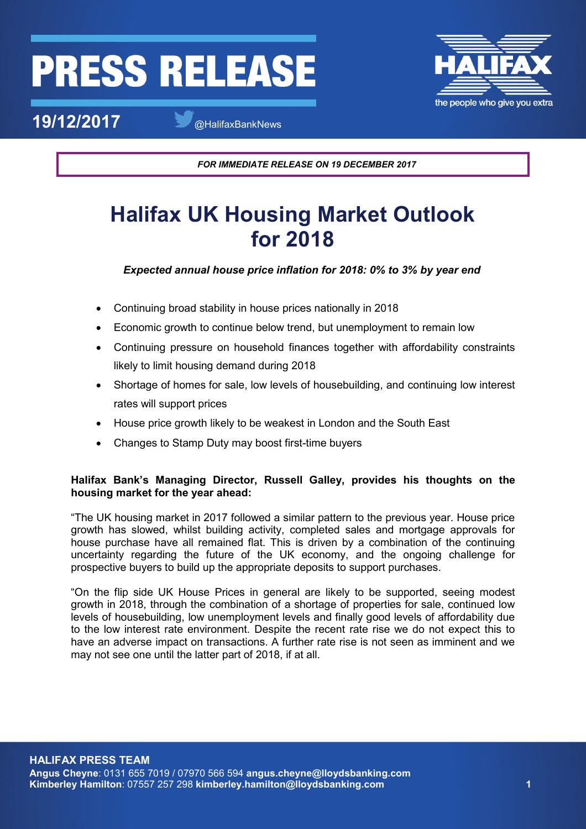# **PRESS RELEASI**



**19/12/2017** @HalifaxBankNews

*FOR IMMEDIATE RELEASE ON 19 DECEMBER 2017*

# **Halifax UK Housing Market Outlook for 2018**

# *Expected annual house price inflation for 2018: 0% to 3% by year end*

- Continuing broad stability in house prices nationally in 2018
- Economic growth to continue below trend, but unemployment to remain low
- Continuing pressure on household finances together with affordability constraints likely to limit housing demand during 2018
- Shortage of homes for sale, low levels of housebuilding, and continuing low interest rates will support prices
- House price growth likely to be weakest in London and the South East
- Changes to Stamp Duty may boost first-time buyers

# **Halifax Bank's Managing Director, Russell Galley, provides his thoughts on the housing market for the year ahead:**

"The UK housing market in 2017 followed a similar pattern to the previous year. House price growth has slowed, whilst building activity, completed sales and mortgage approvals for house purchase have all remained flat. This is driven by a combination of the continuing uncertainty regarding the future of the UK economy, and the ongoing challenge for prospective buyers to build up the appropriate deposits to support purchases.

"On the flip side UK House Prices in general are likely to be supported, seeing modest growth in 2018, through the combination of a shortage of properties for sale, continued low levels of housebuilding, low unemployment levels and finally good levels of affordability due to the low interest rate environment. Despite the recent rate rise we do not expect this to have an adverse impact on transactions. A further rate rise is not seen as imminent and we may not see one until the latter part of 2018, if at all.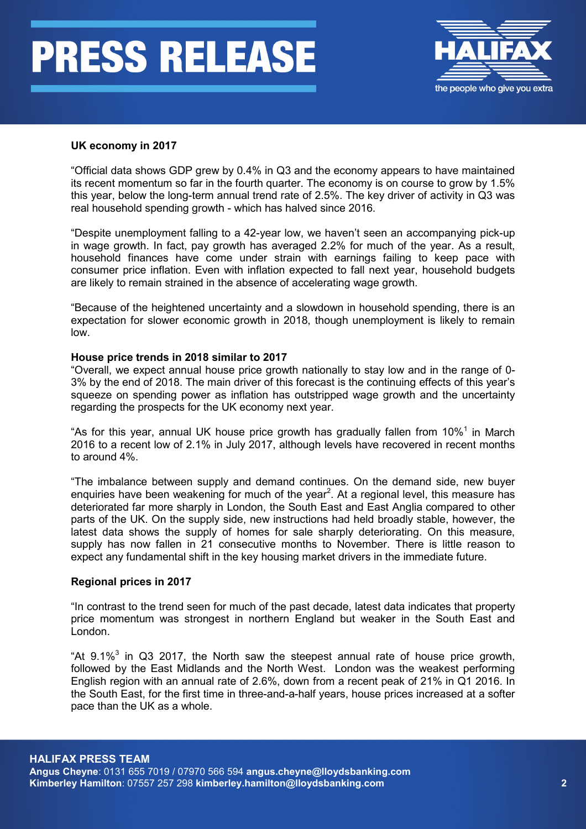# **PRESS RELEASE**



### **UK economy in 2017**

"Official data shows GDP grew by 0.4% in Q3 and the economy appears to have maintained its recent momentum so far in the fourth quarter. The economy is on course to grow by 1.5% this year, below the long-term annual trend rate of 2.5%. The key driver of activity in Q3 was real household spending growth - which has halved since 2016.

"Despite unemployment falling to a 42-year low, we haven't seen an accompanying pick-up in wage growth. In fact, pay growth has averaged 2.2% for much of the year. As a result, household finances have come under strain with earnings failing to keep pace with consumer price inflation. Even with inflation expected to fall next year, household budgets are likely to remain strained in the absence of accelerating wage growth.

"Because of the heightened uncertainty and a slowdown in household spending, there is an expectation for slower economic growth in 2018, though unemployment is likely to remain low.

#### **House price trends in 2018 similar to 2017**

"Overall, we expect annual house price growth nationally to stay low and in the range of 0- 3% by the end of 2018. The main driver of this forecast is the continuing effects of this year's squeeze on spending power as inflation has outstripped wage growth and the uncertainty regarding the prospects for the UK economy next year.

"As for this year, annual UK house price growth has gradually fallen from  $10\%$ <sup>1</sup> in March 2016 to a recent low of 2.1% in July 2017, although levels have recovered in recent months to around 4%.

"The imbalance between supply and demand continues. On the demand side, new buyer enquiries have been weakening for much of the year<sup>2</sup>. At a regional level, this measure has deteriorated far more sharply in London, the South East and East Anglia compared to other parts of the UK. On the supply side, new instructions had held broadly stable, however, the latest data shows the supply of homes for sale sharply deteriorating. On this measure, supply has now fallen in 21 consecutive months to November. There is little reason to expect any fundamental shift in the key housing market drivers in the immediate future.

#### **Regional prices in 2017**

"In contrast to the trend seen for much of the past decade, latest data indicates that property price momentum was strongest in northern England but weaker in the South East and London.

"At  $9.1\%$ <sup>3</sup> in Q3 2017, the North saw the steepest annual rate of house price growth, followed by the East Midlands and the North West. London was the weakest performing English region with an annual rate of 2.6%, down from a recent peak of 21% in Q1 2016. In the South East, for the first time in three-and-a-half years, house prices increased at a softer pace than the UK as a whole.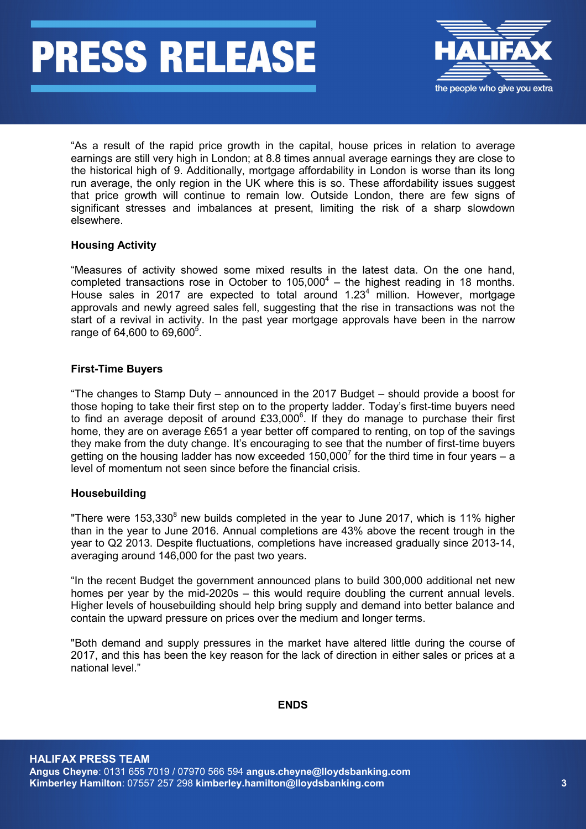# **PRESS RELEASE**



"As a result of the rapid price growth in the capital, house prices in relation to average earnings are still very high in London; at 8.8 times annual average earnings they are close to the historical high of 9. Additionally, mortgage affordability in London is worse than its long run average, the only region in the UK where this is so. These affordability issues suggest that price growth will continue to remain low. Outside London, there are few signs of significant stresses and imbalances at present, limiting the risk of a sharp slowdown elsewhere.

# **Housing Activity**

"Measures of activity showed some mixed results in the latest data. On the one hand, completed transactions rose in October to  $105,000^4$  – the highest reading in 18 months. House sales in 2017 are expected to total around  $1.23<sup>4</sup>$  million. However, mortgage approvals and newly agreed sales fell, suggesting that the rise in transactions was not the start of a revival in activity. In the past year mortgage approvals have been in the narrow range of 64,600 to 69,600<sup>5</sup>.

### **First-Time Buyers**

"The changes to Stamp Duty – announced in the 2017 Budget – should provide a boost for those hoping to take their first step on to the property ladder. Today's first-time buyers need to find an average deposit of around £33,000 $^{\circ}$ . If they do manage to purchase their first home, they are on average £651 a year better off compared to renting, on top of the savings they make from the duty change. It's encouraging to see that the number of first-time buyers getting on the housing ladder has now exceeded  $150,000^7$  for the third time in four years – a level of momentum not seen since before the financial crisis.

### **Housebuilding**

"There were  $153,330^8$  new builds completed in the year to June 2017, which is 11% higher than in the year to June 2016. Annual completions are 43% above the recent trough in the year to Q2 2013. Despite fluctuations, completions have increased gradually since 2013-14, averaging around 146,000 for the past two years.

"In the recent Budget the government announced plans to build 300,000 additional net new homes per year by the mid-2020s – this would require doubling the current annual levels. Higher levels of housebuilding should help bring supply and demand into better balance and contain the upward pressure on prices over the medium and longer terms.

"Both demand and supply pressures in the market have altered little during the course of 2017, and this has been the key reason for the lack of direction in either sales or prices at a national level."

### **ENDS**